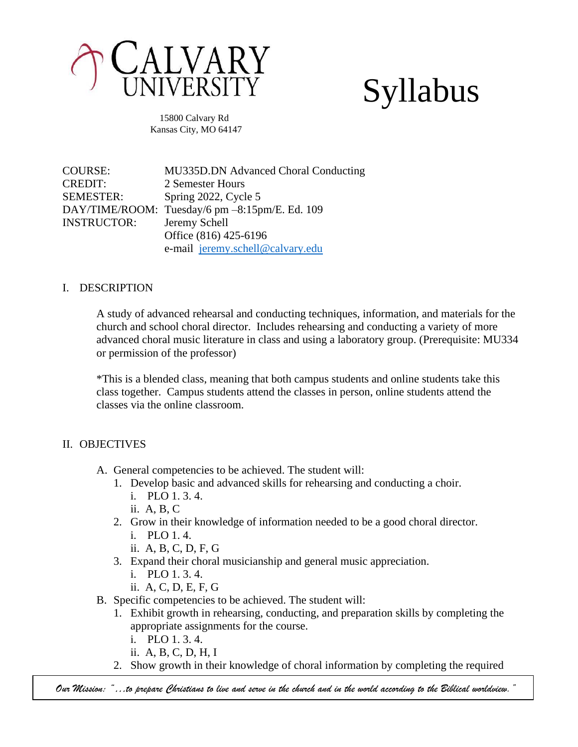

# Syllabus

 15800 Calvary Rd Kansas City, MO 64147

COURSE: MU335D.DN Advanced Choral Conducting CREDIT: 2 Semester Hours SEMESTER: Spring 2022, Cycle 5 DAY/TIME/ROOM: Tuesday/6 pm –8:15pm/E. Ed. 109 INSTRUCTOR: Jeremy Schell Office (816) 425-6196 e-mail [jeremy.schell@calvary.edu](mailto:jeremy.schell@calvary.edu)

#### I. DESCRIPTION

A study of advanced rehearsal and conducting techniques, information, and materials for the church and school choral director. Includes rehearsing and conducting a variety of more advanced choral music literature in class and using a laboratory group. (Prerequisite: MU334 or permission of the professor)

\*This is a blended class, meaning that both campus students and online students take this class together. Campus students attend the classes in person, online students attend the classes via the online classroom.

### II. OBJECTIVES

- A. General competencies to be achieved. The student will:
	- 1. Develop basic and advanced skills for rehearsing and conducting a choir.
		- i. PLO 1. 3. 4.
		- ii. A, B, C
	- 2. Grow in their knowledge of information needed to be a good choral director.
		- i. PLO 1. 4.
		- ii. A, B, C, D, F, G
	- 3. Expand their choral musicianship and general music appreciation.
		- i. PLO 1. 3. 4.
		- ii. A, C, D, E, F, G
- B. Specific competencies to be achieved. The student will:
	- 1. Exhibit growth in rehearsing, conducting, and preparation skills by completing the appropriate assignments for the course.
		- i. PLO 1. 3. 4.
		- ii. A, B, C, D, H, I
	- 2. Show growth in their knowledge of choral information by completing the required

*Our Mission: "…to prepare Christians to live and serve in the church and in the world according to the Biblical worldview."*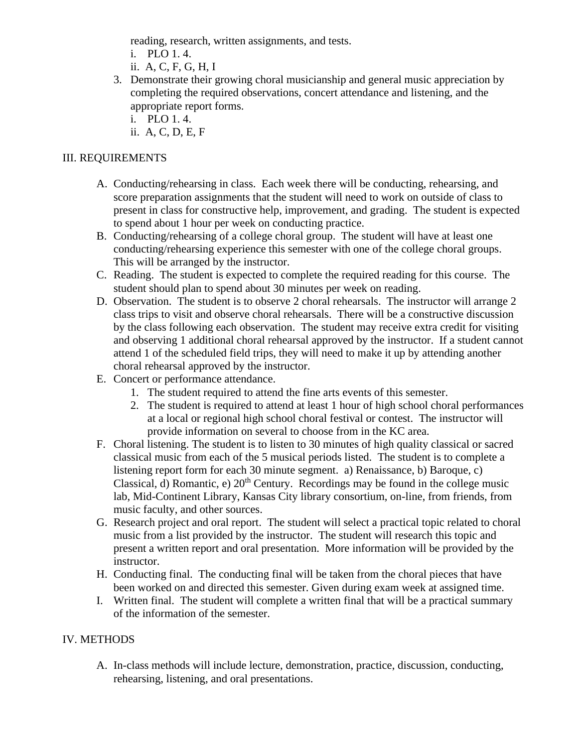reading, research, written assignments, and tests.

- i. PLO 1. 4.
- ii. A, C, F, G, H, I
- 3. Demonstrate their growing choral musicianship and general music appreciation by completing the required observations, concert attendance and listening, and the appropriate report forms.
	- i. PLO 1. 4.
	- ii. A, C, D, E, F

## III. REQUIREMENTS

- A. Conducting/rehearsing in class. Each week there will be conducting, rehearsing, and score preparation assignments that the student will need to work on outside of class to present in class for constructive help, improvement, and grading. The student is expected to spend about 1 hour per week on conducting practice.
- B. Conducting/rehearsing of a college choral group. The student will have at least one conducting/rehearsing experience this semester with one of the college choral groups. This will be arranged by the instructor.
- C. Reading. The student is expected to complete the required reading for this course. The student should plan to spend about 30 minutes per week on reading.
- D. Observation. The student is to observe 2 choral rehearsals. The instructor will arrange 2 class trips to visit and observe choral rehearsals. There will be a constructive discussion by the class following each observation. The student may receive extra credit for visiting and observing 1 additional choral rehearsal approved by the instructor. If a student cannot attend 1 of the scheduled field trips, they will need to make it up by attending another choral rehearsal approved by the instructor.
- E. Concert or performance attendance.
	- 1. The student required to attend the fine arts events of this semester.
	- 2. The student is required to attend at least 1 hour of high school choral performances at a local or regional high school choral festival or contest. The instructor will provide information on several to choose from in the KC area.
- F. Choral listening. The student is to listen to 30 minutes of high quality classical or sacred classical music from each of the 5 musical periods listed. The student is to complete a listening report form for each 30 minute segment. a) Renaissance, b) Baroque, c) Classical,  $d$ ) Romantic, e)  $20<sup>th</sup>$  Century. Recordings may be found in the college music lab, Mid-Continent Library, Kansas City library consortium, on-line, from friends, from music faculty, and other sources.
- G. Research project and oral report. The student will select a practical topic related to choral music from a list provided by the instructor. The student will research this topic and present a written report and oral presentation. More information will be provided by the instructor.
- H. Conducting final. The conducting final will be taken from the choral pieces that have been worked on and directed this semester. Given during exam week at assigned time.
- I. Written final. The student will complete a written final that will be a practical summary of the information of the semester.

### IV. METHODS

A. In-class methods will include lecture, demonstration, practice, discussion, conducting, rehearsing, listening, and oral presentations.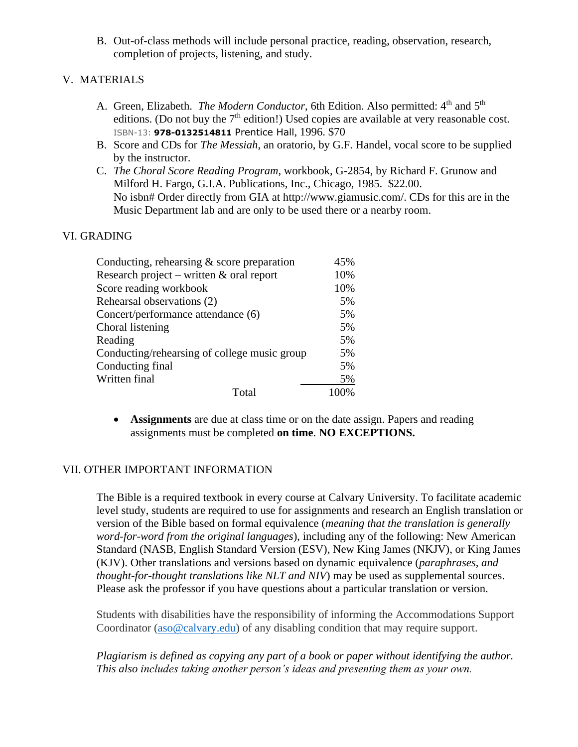B. Out-of-class methods will include personal practice, reading, observation, research, completion of projects, listening, and study.

### V. MATERIALS

- A. Green, Elizabeth. *The Modern Conductor*, 6th Edition. Also permitted: 4<sup>th</sup> and 5<sup>th</sup> editions. (Do not buy the  $7<sup>th</sup>$  edition!) Used copies are available at very reasonable cost. ISBN-13: **978-0132514811** Prentice Hall, 1996. \$70
- B. Score and CDs for *The Messiah*, an oratorio, by G.F. Handel, vocal score to be supplied by the instructor.
- C. *The Choral Score Reading Program*, workbook, G-2854, by Richard F. Grunow and Milford H. Fargo, G.I.A. Publications, Inc., Chicago, 1985. \$22.00. No isbn# Order directly from GIA at http://www.giamusic.com/. CDs for this are in the Music Department lab and are only to be used there or a nearby room.

## VI. GRADING

| Conducting, rehearsing $&$ score preparation | 45%  |
|----------------------------------------------|------|
| Research project – written $&$ oral report   | 10%  |
| Score reading workbook                       | 10%  |
| Rehearsal observations (2)                   | 5%   |
| Concert/performance attendance (6)           | 5%   |
| Choral listening                             | 5%   |
| Reading                                      | 5%   |
| Conducting/rehearsing of college music group | 5%   |
| Conducting final                             | 5%   |
| Written final                                | 5%   |
| Total                                        | 100% |

• **Assignments** are due at class time or on the date assign. Papers and reading assignments must be completed **on time**. **NO EXCEPTIONS.** 

### VII. OTHER IMPORTANT INFORMATION

The Bible is a required textbook in every course at Calvary University. To facilitate academic level study, students are required to use for assignments and research an English translation or version of the Bible based on formal equivalence (*meaning that the translation is generally word-for-word from the original languages*), including any of the following: New American Standard (NASB, English Standard Version (ESV), New King James (NKJV), or King James (KJV). Other translations and versions based on dynamic equivalence (*paraphrases, and thought-for-thought translations like NLT and NIV*) may be used as supplemental sources. Please ask the professor if you have questions about a particular translation or version.

Students with disabilities have the responsibility of informing the Accommodations Support Coordinator [\(aso@calvary.edu\)](mailto:aso@calvary.edu) of any disabling condition that may require support.

*Plagiarism is defined as copying any part of a book or paper without identifying the author. This also includes taking another person's ideas and presenting them as your own.*